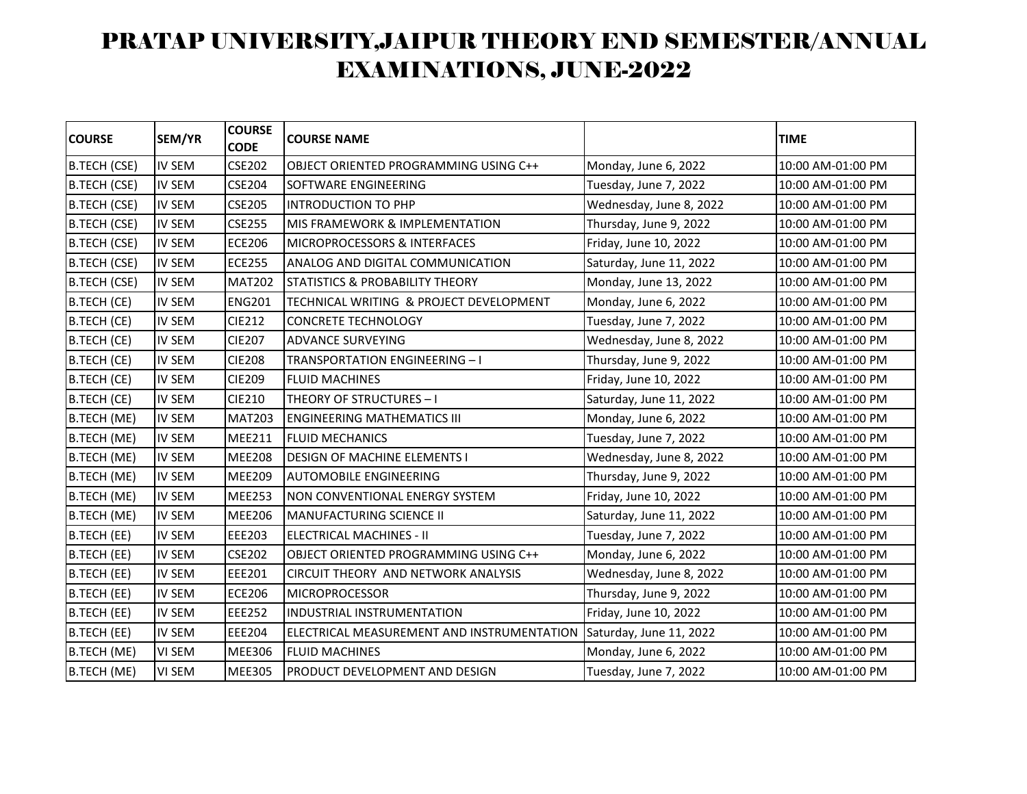| <b>COURSE</b>       | SEM/YR        | <b>COURSE</b><br><b>CODE</b> | <b>COURSE NAME</b>                         |                         | <b>TIME</b>       |
|---------------------|---------------|------------------------------|--------------------------------------------|-------------------------|-------------------|
| B.TECH (CSE)        | <b>IV SEM</b> | <b>CSE202</b>                | OBJECT ORIENTED PROGRAMMING USING C++      | Monday, June 6, 2022    | 10:00 AM-01:00 PM |
| <b>B.TECH (CSE)</b> | <b>IV SEM</b> | <b>CSE204</b>                | SOFTWARE ENGINEERING                       | Tuesday, June 7, 2022   | 10:00 AM-01:00 PM |
| <b>B.TECH (CSE)</b> | <b>IV SEM</b> | <b>CSE205</b>                | <b>INTRODUCTION TO PHP</b>                 | Wednesday, June 8, 2022 | 10:00 AM-01:00 PM |
| <b>B.TECH (CSE)</b> | <b>IV SEM</b> | <b>CSE255</b>                | MIS FRAMEWORK & IMPLEMENTATION             | Thursday, June 9, 2022  | 10:00 AM-01:00 PM |
| <b>B.TECH (CSE)</b> | IV SEM        | <b>ECE206</b>                | MICROPROCESSORS & INTERFACES               | Friday, June 10, 2022   | 10:00 AM-01:00 PM |
| <b>B.TECH (CSE)</b> | <b>IV SEM</b> | <b>ECE255</b>                | ANALOG AND DIGITAL COMMUNICATION           | Saturday, June 11, 2022 | 10:00 AM-01:00 PM |
| <b>B.TECH (CSE)</b> | <b>IV SEM</b> | <b>MAT202</b>                | <b>STATISTICS &amp; PROBABILITY THEORY</b> | Monday, June 13, 2022   | 10:00 AM-01:00 PM |
| B.TECH (CE)         | <b>IV SEM</b> | <b>ENG201</b>                | TECHNICAL WRITING & PROJECT DEVELOPMENT    | Monday, June 6, 2022    | 10:00 AM-01:00 PM |
| B.TECH (CE)         | <b>IV SEM</b> | <b>CIE212</b>                | <b>CONCRETE TECHNOLOGY</b>                 | Tuesday, June 7, 2022   | 10:00 AM-01:00 PM |
| B.TECH (CE)         | IV SEM        | <b>CIE207</b>                | <b>ADVANCE SURVEYING</b>                   | Wednesday, June 8, 2022 | 10:00 AM-01:00 PM |
| B.TECH (CE)         | <b>IV SEM</b> | <b>CIE208</b>                | <b>TRANSPORTATION ENGINEERING - I</b>      | Thursday, June 9, 2022  | 10:00 AM-01:00 PM |
| <b>B.TECH (CE)</b>  | <b>IV SEM</b> | <b>CIE209</b>                | <b>FLUID MACHINES</b>                      | Friday, June 10, 2022   | 10:00 AM-01:00 PM |
| B.TECH (CE)         | <b>IV SEM</b> | <b>CIE210</b>                | THEORY OF STRUCTURES - I                   | Saturday, June 11, 2022 | 10:00 AM-01:00 PM |
| B.TECH (ME)         | <b>IV SEM</b> | <b>MAT203</b>                | <b>ENGINEERING MATHEMATICS III</b>         | Monday, June 6, 2022    | 10:00 AM-01:00 PM |
| B.TECH (ME)         | <b>IV SEM</b> | <b>MEE211</b>                | <b>FLUID MECHANICS</b>                     | Tuesday, June 7, 2022   | 10:00 AM-01:00 PM |
| B.TECH (ME)         | IV SEM        | <b>MEE208</b>                | DESIGN OF MACHINE ELEMENTS I               | Wednesday, June 8, 2022 | 10:00 AM-01:00 PM |
| <b>B.TECH (ME)</b>  | IV SEM        | <b>MEE209</b>                | <b>AUTOMOBILE ENGINEERING</b>              | Thursday, June 9, 2022  | 10:00 AM-01:00 PM |
| B.TECH (ME)         | <b>IV SEM</b> | <b>MEE253</b>                | NON CONVENTIONAL ENERGY SYSTEM             | Friday, June 10, 2022   | 10:00 AM-01:00 PM |
| B.TECH (ME)         | <b>IV SEM</b> | <b>MEE206</b>                | <b>MANUFACTURING SCIENCE II</b>            | Saturday, June 11, 2022 | 10:00 AM-01:00 PM |
| B.TECH (EE)         | <b>IV SEM</b> | <b>EEE203</b>                | ELECTRICAL MACHINES - II                   | Tuesday, June 7, 2022   | 10:00 AM-01:00 PM |
| B.TECH (EE)         | <b>IV SEM</b> | <b>CSE202</b>                | OBJECT ORIENTED PROGRAMMING USING C++      | Monday, June 6, 2022    | 10:00 AM-01:00 PM |
| B.TECH (EE)         | <b>IV SEM</b> | <b>EEE201</b>                | CIRCUIT THEORY AND NETWORK ANALYSIS        | Wednesday, June 8, 2022 | 10:00 AM-01:00 PM |
| B.TECH (EE)         | <b>IV SEM</b> | <b>ECE206</b>                | <b>MICROPROCESSOR</b>                      | Thursday, June 9, 2022  | 10:00 AM-01:00 PM |
| B.TECH (EE)         | <b>IV SEM</b> | <b>EEE252</b>                | INDUSTRIAL INSTRUMENTATION                 | Friday, June 10, 2022   | 10:00 AM-01:00 PM |
| B.TECH (EE)         | <b>IV SEM</b> | <b>EEE204</b>                | ELECTRICAL MEASUREMENT AND INSTRUMENTATION | Saturday, June 11, 2022 | 10:00 AM-01:00 PM |
| B.TECH (ME)         | VI SEM        | <b>MEE306</b>                | <b>FLUID MACHINES</b>                      | Monday, June 6, 2022    | 10:00 AM-01:00 PM |
| <b>B.TECH (ME)</b>  | <b>VI SEM</b> | <b>MEE305</b>                | PRODUCT DEVELOPMENT AND DESIGN             | Tuesday, June 7, 2022   | 10:00 AM-01:00 PM |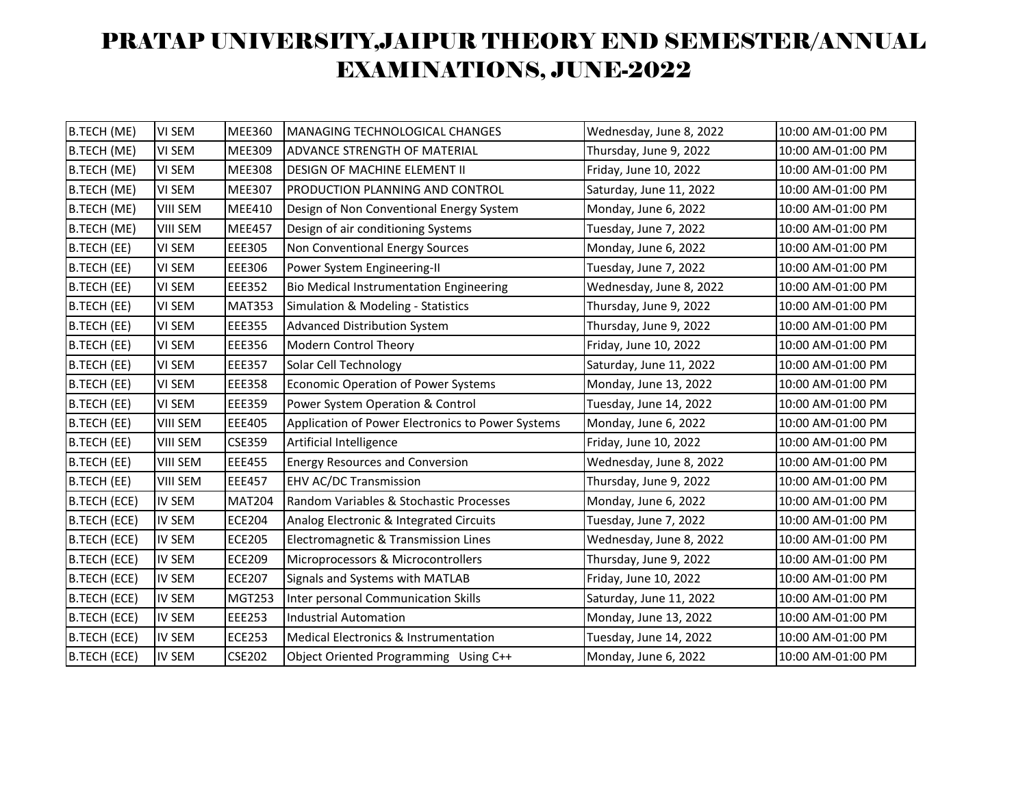| B.TECH (ME)         | <b>VI SEM</b>   | <b>MEE360</b> | MANAGING TECHNOLOGICAL CHANGES                    | Wednesday, June 8, 2022 | 10:00 AM-01:00 PM |
|---------------------|-----------------|---------------|---------------------------------------------------|-------------------------|-------------------|
| B.TECH (ME)         | VI SEM          | <b>MEE309</b> | ADVANCE STRENGTH OF MATERIAL                      | Thursday, June 9, 2022  | 10:00 AM-01:00 PM |
| B.TECH (ME)         | VI SEM          | <b>MEE308</b> | DESIGN OF MACHINE ELEMENT II                      | Friday, June 10, 2022   | 10:00 AM-01:00 PM |
| B.TECH (ME)         | VI SEM          | <b>MEE307</b> | PRODUCTION PLANNING AND CONTROL                   | Saturday, June 11, 2022 | 10:00 AM-01:00 PM |
| B.TECH (ME)         | <b>VIII SEM</b> | <b>MEE410</b> | Design of Non Conventional Energy System          | Monday, June 6, 2022    | 10:00 AM-01:00 PM |
| B.TECH (ME)         | <b>VIII SEM</b> | <b>MEE457</b> | Design of air conditioning Systems                | Tuesday, June 7, 2022   | 10:00 AM-01:00 PM |
| B.TECH (EE)         | VI SEM          | <b>EEE305</b> | Non Conventional Energy Sources                   | Monday, June 6, 2022    | 10:00 AM-01:00 PM |
| <b>B.TECH (EE)</b>  | VI SEM          | <b>EEE306</b> | Power System Engineering-II                       | Tuesday, June 7, 2022   | 10:00 AM-01:00 PM |
| B.TECH (EE)         | VI SEM          | <b>EEE352</b> | Bio Medical Instrumentation Engineering           | Wednesday, June 8, 2022 | 10:00 AM-01:00 PM |
| B.TECH (EE)         | VI SEM          | <b>MAT353</b> | Simulation & Modeling - Statistics                | Thursday, June 9, 2022  | 10:00 AM-01:00 PM |
| <b>B.TECH (EE)</b>  | VI SEM          | <b>EEE355</b> | Advanced Distribution System                      | Thursday, June 9, 2022  | 10:00 AM-01:00 PM |
| B.TECH (EE)         | VI SEM          | <b>EEE356</b> | Modern Control Theory                             | Friday, June 10, 2022   | 10:00 AM-01:00 PM |
| B.TECH (EE)         | VI SEM          | <b>EEE357</b> | Solar Cell Technology                             | Saturday, June 11, 2022 | 10:00 AM-01:00 PM |
| <b>B.TECH (EE)</b>  | VI SEM          | <b>EEE358</b> | Economic Operation of Power Systems               | Monday, June 13, 2022   | 10:00 AM-01:00 PM |
| B.TECH (EE)         | VI SEM          | <b>EEE359</b> | Power System Operation & Control                  | Tuesday, June 14, 2022  | 10:00 AM-01:00 PM |
| B.TECH (EE)         | <b>VIII SEM</b> | <b>EEE405</b> | Application of Power Electronics to Power Systems | Monday, June 6, 2022    | 10:00 AM-01:00 PM |
| <b>B.TECH (EE)</b>  | <b>VIII SEM</b> | <b>CSE359</b> | Artificial Intelligence                           | Friday, June 10, 2022   | 10:00 AM-01:00 PM |
| B.TECH (EE)         | <b>VIII SEM</b> | <b>EEE455</b> | <b>Energy Resources and Conversion</b>            | Wednesday, June 8, 2022 | 10:00 AM-01:00 PM |
| B.TECH (EE)         | <b>VIII SEM</b> | <b>EEE457</b> | <b>EHV AC/DC Transmission</b>                     | Thursday, June 9, 2022  | 10:00 AM-01:00 PM |
| <b>B.TECH (ECE)</b> | <b>IV SEM</b>   | <b>MAT204</b> | Random Variables & Stochastic Processes           | Monday, June 6, 2022    | 10:00 AM-01:00 PM |
| B.TECH (ECE)        | <b>IV SEM</b>   | <b>ECE204</b> | Analog Electronic & Integrated Circuits           | Tuesday, June 7, 2022   | 10:00 AM-01:00 PM |
| <b>B.TECH (ECE)</b> | <b>IV SEM</b>   | <b>ECE205</b> | Electromagnetic & Transmission Lines              | Wednesday, June 8, 2022 | 10:00 AM-01:00 PM |
| <b>B.TECH (ECE)</b> | <b>IV SEM</b>   | <b>ECE209</b> | Microprocessors & Microcontrollers                | Thursday, June 9, 2022  | 10:00 AM-01:00 PM |
| <b>B.TECH (ECE)</b> | <b>IV SEM</b>   | <b>ECE207</b> | Signals and Systems with MATLAB                   | Friday, June 10, 2022   | 10:00 AM-01:00 PM |
| <b>B.TECH (ECE)</b> | <b>IV SEM</b>   | <b>MGT253</b> | Inter personal Communication Skills               | Saturday, June 11, 2022 | 10:00 AM-01:00 PM |
| <b>B.TECH (ECE)</b> | <b>IV SEM</b>   | <b>EEE253</b> | <b>Industrial Automation</b>                      | Monday, June 13, 2022   | 10:00 AM-01:00 PM |
| <b>B.TECH (ECE)</b> | <b>IV SEM</b>   | <b>ECE253</b> | Medical Electronics & Instrumentation             | Tuesday, June 14, 2022  | 10:00 AM-01:00 PM |
| <b>B.TECH (ECE)</b> | <b>IV SEM</b>   | <b>CSE202</b> | Object Oriented Programming Using C++             | Monday, June 6, 2022    | 10:00 AM-01:00 PM |
|                     |                 |               |                                                   |                         |                   |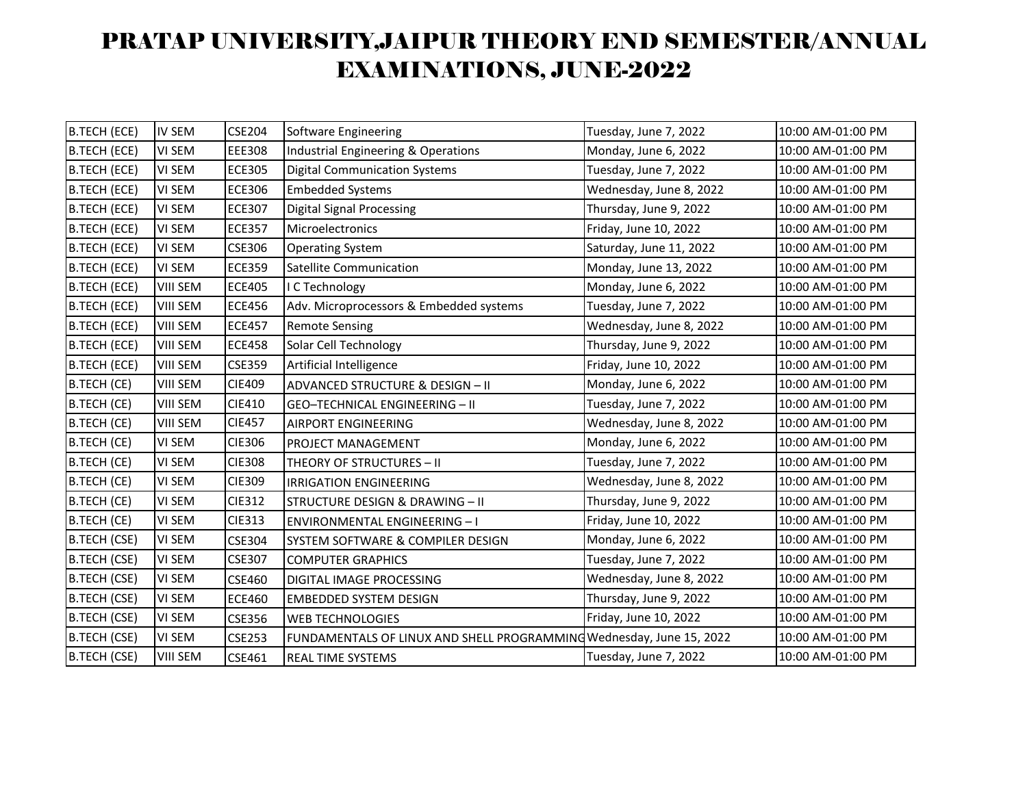| <b>B.TECH (ECE)</b> | <b>IV SEM</b>   | <b>CSE204</b> | Software Engineering                                                 | Tuesday, June 7, 2022   | 10:00 AM-01:00 PM |
|---------------------|-----------------|---------------|----------------------------------------------------------------------|-------------------------|-------------------|
| <b>B.TECH (ECE)</b> | VI SEM          | <b>EEE308</b> | Industrial Engineering & Operations                                  | Monday, June 6, 2022    | 10:00 AM-01:00 PM |
| B.TECH (ECE)        | VI SEM          | <b>ECE305</b> | <b>Digital Communication Systems</b>                                 | Tuesday, June 7, 2022   | 10:00 AM-01:00 PM |
| B.TECH (ECE)        | VI SEM          | <b>ECE306</b> | <b>Embedded Systems</b>                                              | Wednesday, June 8, 2022 | 10:00 AM-01:00 PM |
| <b>B.TECH (ECE)</b> | VI SEM          | <b>ECE307</b> | <b>Digital Signal Processing</b>                                     | Thursday, June 9, 2022  | 10:00 AM-01:00 PM |
| B.TECH (ECE)        | VI SEM          | <b>ECE357</b> | Microelectronics                                                     | Friday, June 10, 2022   | 10:00 AM-01:00 PM |
| <b>B.TECH (ECE)</b> | VI SEM          | <b>CSE306</b> | <b>Operating System</b>                                              | Saturday, June 11, 2022 | 10:00 AM-01:00 PM |
| B.TECH (ECE)        | VI SEM          | <b>ECE359</b> | Satellite Communication                                              | Monday, June 13, 2022   | 10:00 AM-01:00 PM |
| B.TECH (ECE)        | <b>VIII SEM</b> | <b>ECE405</b> | I C Technology                                                       | Monday, June 6, 2022    | 10:00 AM-01:00 PM |
| <b>B.TECH (ECE)</b> | <b>VIII SEM</b> | <b>ECE456</b> | Adv. Microprocessors & Embedded systems                              | Tuesday, June 7, 2022   | 10:00 AM-01:00 PM |
| B.TECH (ECE)        | <b>VIII SEM</b> | <b>ECE457</b> | <b>Remote Sensing</b>                                                | Wednesday, June 8, 2022 | 10:00 AM-01:00 PM |
| B.TECH (ECE)        | <b>VIII SEM</b> | <b>ECE458</b> | Solar Cell Technology                                                | Thursday, June 9, 2022  | 10:00 AM-01:00 PM |
| <b>B.TECH (ECE)</b> | <b>VIII SEM</b> | <b>CSE359</b> | Artificial Intelligence                                              | Friday, June 10, 2022   | 10:00 AM-01:00 PM |
| B.TECH (CE)         | <b>VIII SEM</b> | <b>CIE409</b> | ADVANCED STRUCTURE & DESIGN - II                                     | Monday, June 6, 2022    | 10:00 AM-01:00 PM |
| B.TECH (CE)         | <b>VIII SEM</b> | <b>CIE410</b> | GEO-TECHNICAL ENGINEERING - II                                       | Tuesday, June 7, 2022   | 10:00 AM-01:00 PM |
| B.TECH (CE)         | <b>VIII SEM</b> | <b>CIE457</b> | <b>AIRPORT ENGINEERING</b>                                           | Wednesday, June 8, 2022 | 10:00 AM-01:00 PM |
| B.TECH (CE)         | VI SEM          | CIE306        | PROJECT MANAGEMENT                                                   | Monday, June 6, 2022    | 10:00 AM-01:00 PM |
| B.TECH (CE)         | VI SEM          | <b>CIE308</b> | THEORY OF STRUCTURES - II                                            | Tuesday, June 7, 2022   | 10:00 AM-01:00 PM |
| B.TECH (CE)         | <b>VI SEM</b>   | <b>CIE309</b> | <b>IRRIGATION ENGINEERING</b>                                        | Wednesday, June 8, 2022 | 10:00 AM-01:00 PM |
| B.TECH (CE)         | VI SEM          | <b>CIE312</b> | STRUCTURE DESIGN & DRAWING - II                                      | Thursday, June 9, 2022  | 10:00 AM-01:00 PM |
| B.TECH (CE)         | VI SEM          | <b>CIE313</b> | <b>ENVIRONMENTAL ENGINEERING - I</b>                                 | Friday, June 10, 2022   | 10:00 AM-01:00 PM |
| <b>B.TECH (CSE)</b> | VI SEM          | <b>CSE304</b> | SYSTEM SOFTWARE & COMPILER DESIGN                                    | Monday, June 6, 2022    | 10:00 AM-01:00 PM |
| B.TECH (CSE)        | VI SEM          | <b>CSE307</b> | <b>COMPUTER GRAPHICS</b>                                             | Tuesday, June 7, 2022   | 10:00 AM-01:00 PM |
| <b>B.TECH (CSE)</b> | VI SEM          | CSE460        | DIGITAL IMAGE PROCESSING                                             | Wednesday, June 8, 2022 | 10:00 AM-01:00 PM |
| <b>B.TECH (CSE)</b> | VI SEM          | <b>ECE460</b> | <b>EMBEDDED SYSTEM DESIGN</b>                                        | Thursday, June 9, 2022  | 10:00 AM-01:00 PM |
| <b>B.TECH (CSE)</b> | VI SEM          | CSE356        | <b>WEB TECHNOLOGIES</b>                                              | Friday, June 10, 2022   | 10:00 AM-01:00 PM |
| <b>B.TECH (CSE)</b> | VI SEM          | <b>CSE253</b> | FUNDAMENTALS OF LINUX AND SHELL PROGRAMMING Wednesday, June 15, 2022 |                         | 10:00 AM-01:00 PM |
| <b>B.TECH (CSE)</b> | <b>VIII SEM</b> | CSE461        | <b>REAL TIME SYSTEMS</b>                                             | Tuesday, June 7, 2022   | 10:00 AM-01:00 PM |
|                     |                 |               |                                                                      |                         |                   |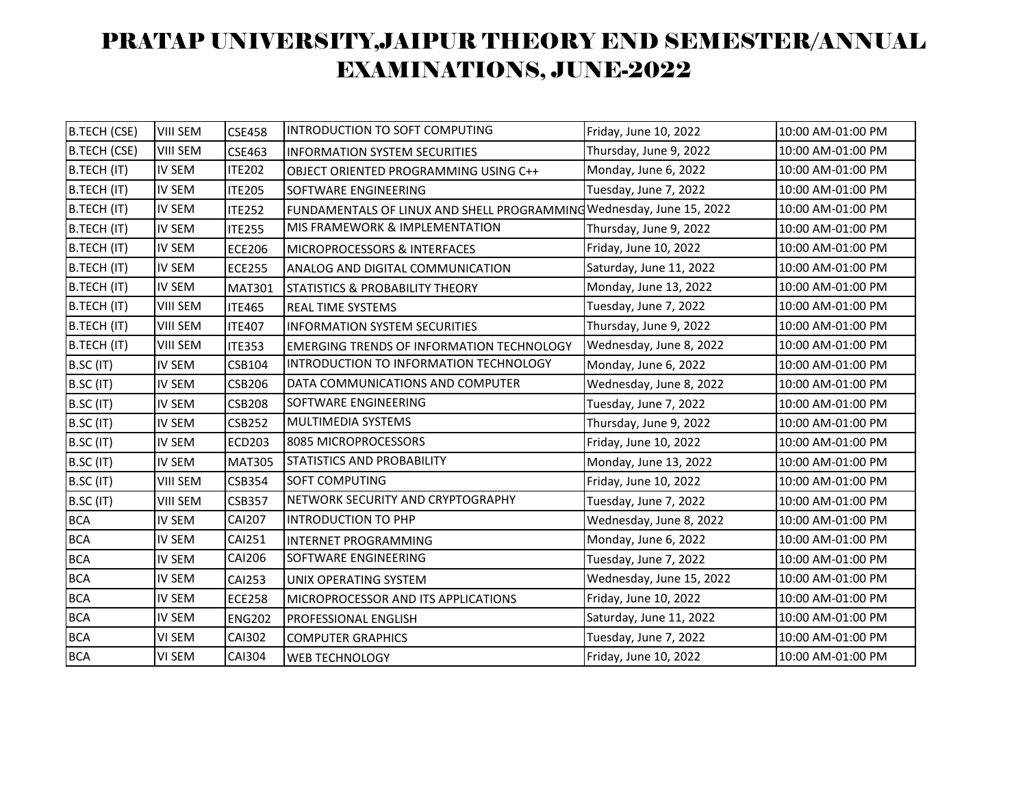| <b>B.TECH (CSE)</b> | <b>VIII SEM</b> | <b>CSE458</b> | INTRODUCTION TO SOFT COMPUTING                                       | Friday, June 10, 2022    | 10:00 AM-01:00 PM |
|---------------------|-----------------|---------------|----------------------------------------------------------------------|--------------------------|-------------------|
| B.TECH (CSE)        | <b>VIII SEM</b> | CSE463        | <b>INFORMATION SYSTEM SECURITIES</b>                                 | Thursday, June 9, 2022   | 10:00 AM-01:00 PM |
| B.TECH (IT)         | <b>IV SEM</b>   | <b>ITE202</b> | OBJECT ORIENTED PROGRAMMING USING C++                                | Monday, June 6, 2022     | 10:00 AM-01:00 PM |
| B.TECH (IT)         | <b>IV SEM</b>   | <b>ITE205</b> | SOFTWARE ENGINEERING                                                 | Tuesday, June 7, 2022    | 10:00 AM-01:00 PM |
| B.TECH (IT)         | <b>IV SEM</b>   | <b>ITE252</b> | FUNDAMENTALS OF LINUX AND SHELL PROGRAMMING Wednesday, June 15, 2022 |                          | 10:00 AM-01:00 PM |
| B.TECH (IT)         | <b>IV SEM</b>   | <b>ITE255</b> | MIS FRAMEWORK & IMPLEMENTATION                                       | Thursday, June 9, 2022   | 10:00 AM-01:00 PM |
| B.TECH (IT)         | <b>IV SEM</b>   | <b>ECE206</b> | MICROPROCESSORS & INTERFACES                                         | Friday, June 10, 2022    | 10:00 AM-01:00 PM |
| B.TECH (IT)         | <b>IV SEM</b>   | <b>ECE255</b> | ANALOG AND DIGITAL COMMUNICATION                                     | Saturday, June 11, 2022  | 10:00 AM-01:00 PM |
| B.TECH (IT)         | <b>IV SEM</b>   | <b>MAT301</b> | <b>STATISTICS &amp; PROBABILITY THEORY</b>                           | Monday, June 13, 2022    | 10:00 AM-01:00 PM |
| B.TECH (IT)         | <b>VIII SEM</b> | <b>ITE465</b> | <b>REAL TIME SYSTEMS</b>                                             | Tuesday, June 7, 2022    | 10:00 AM-01:00 PM |
| B.TECH (IT)         | <b>VIII SEM</b> | <b>ITE407</b> | <b>INFORMATION SYSTEM SECURITIES</b>                                 | Thursday, June 9, 2022   | 10:00 AM-01:00 PM |
| B.TECH (IT)         | <b>VIII SEM</b> | <b>ITE353</b> | <b>EMERGING TRENDS OF INFORMATION TECHNOLOGY</b>                     | Wednesday, June 8, 2022  | 10:00 AM-01:00 PM |
| <b>B.SC (IT)</b>    | IV SEM          | CSB104        | INTRODUCTION TO INFORMATION TECHNOLOGY                               | Monday, June 6, 2022     | 10:00 AM-01:00 PM |
| B.SC (IT)           | <b>IV SEM</b>   | <b>CSB206</b> | DATA COMMUNICATIONS AND COMPUTER                                     | Wednesday, June 8, 2022  | 10:00 AM-01:00 PM |
| B.SC (IT)           | IV SEM          | <b>CSB208</b> | SOFTWARE ENGINEERING                                                 | Tuesday, June 7, 2022    | 10:00 AM-01:00 PM |
| B.SC (IT)           | IV SEM          | <b>CSB252</b> | <b>MULTIMEDIA SYSTEMS</b>                                            | Thursday, June 9, 2022   | 10:00 AM-01:00 PM |
| B.SC (IT)           | <b>IV SEM</b>   | <b>ECD203</b> | 8085 MICROPROCESSORS                                                 | Friday, June 10, 2022    | 10:00 AM-01:00 PM |
| <b>B.SC (IT)</b>    | IV SEM          | <b>MAT305</b> | STATISTICS AND PROBABILITY                                           | Monday, June 13, 2022    | 10:00 AM-01:00 PM |
| B.SC (IT)           | <b>VIII SEM</b> | CSB354        | SOFT COMPUTING                                                       | Friday, June 10, 2022    | 10:00 AM-01:00 PM |
| <b>B.SC (IT)</b>    | VIII SEM        | <b>CSB357</b> | NETWORK SECURITY AND CRYPTOGRAPHY                                    | Tuesday, June 7, 2022    | 10:00 AM-01:00 PM |
| <b>BCA</b>          | IV SEM          | <b>CAI207</b> | <b>INTRODUCTION TO PHP</b>                                           | Wednesday, June 8, 2022  | 10:00 AM-01:00 PM |
| <b>BCA</b>          | IV SEM          | <b>CAI251</b> | <b>INTERNET PROGRAMMING</b>                                          | Monday, June 6, 2022     | 10:00 AM-01:00 PM |
| <b>BCA</b>          | <b>IV SEM</b>   | <b>CAI206</b> | SOFTWARE ENGINEERING                                                 | Tuesday, June 7, 2022    | 10:00 AM-01:00 PM |
| <b>BCA</b>          | IV SEM          | <b>CAI253</b> | UNIX OPERATING SYSTEM                                                | Wednesday, June 15, 2022 | 10:00 AM-01:00 PM |
| <b>BCA</b>          | IV SEM          | <b>ECE258</b> | MICROPROCESSOR AND ITS APPLICATIONS                                  | Friday, June 10, 2022    | 10:00 AM-01:00 PM |
| <b>BCA</b>          | IV SEM          | <b>ENG202</b> | PROFESSIONAL ENGLISH                                                 | Saturday, June 11, 2022  | 10:00 AM-01:00 PM |
| <b>BCA</b>          | VI SEM          | <b>CAI302</b> | <b>COMPUTER GRAPHICS</b>                                             | Tuesday, June 7, 2022    | 10:00 AM-01:00 PM |
| <b>BCA</b>          | VI SEM          | <b>CAI304</b> | <b>WEB TECHNOLOGY</b>                                                | Friday, June 10, 2022    | 10:00 AM-01:00 PM |
|                     |                 |               |                                                                      |                          |                   |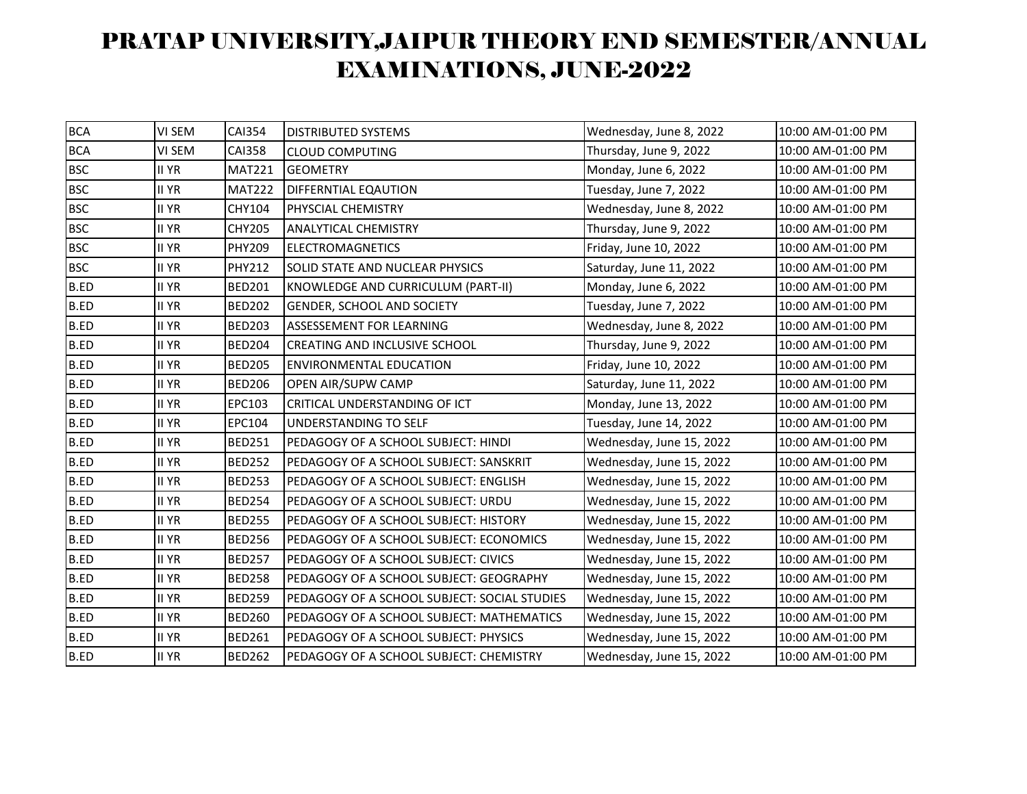| <b>BCA</b>  | <b>VI SEM</b> | <b>CAI354</b> | <b>DISTRIBUTED SYSTEMS</b>                   | Wednesday, June 8, 2022  | 10:00 AM-01:00 PM |
|-------------|---------------|---------------|----------------------------------------------|--------------------------|-------------------|
| <b>BCA</b>  | VI SEM        | <b>CAI358</b> | <b>CLOUD COMPUTING</b>                       | Thursday, June 9, 2022   | 10:00 AM-01:00 PM |
| <b>BSC</b>  | <b>II YR</b>  | <b>MAT221</b> | <b>GEOMETRY</b>                              | Monday, June 6, 2022     | 10:00 AM-01:00 PM |
| <b>BSC</b>  | II YR         | <b>MAT222</b> | <b>DIFFERNTIAL EQAUTION</b>                  | Tuesday, June 7, 2022    | 10:00 AM-01:00 PM |
| <b>BSC</b>  | <b>II YR</b>  | CHY104        | PHYSCIAL CHEMISTRY                           | Wednesday, June 8, 2022  | 10:00 AM-01:00 PM |
| <b>BSC</b>  | <b>II YR</b>  | <b>CHY205</b> | <b>ANALYTICAL CHEMISTRY</b>                  | Thursday, June 9, 2022   | 10:00 AM-01:00 PM |
| <b>BSC</b>  | II YR         | <b>PHY209</b> | <b>ELECTROMAGNETICS</b>                      | Friday, June 10, 2022    | 10:00 AM-01:00 PM |
| <b>BSC</b>  | II YR         | <b>PHY212</b> | SOLID STATE AND NUCLEAR PHYSICS              | Saturday, June 11, 2022  | 10:00 AM-01:00 PM |
| <b>B.ED</b> | <b>II YR</b>  | <b>BED201</b> | KNOWLEDGE AND CURRICULUM (PART-II)           | Monday, June 6, 2022     | 10:00 AM-01:00 PM |
| <b>B.ED</b> | II YR         | <b>BED202</b> | <b>GENDER, SCHOOL AND SOCIETY</b>            | Tuesday, June 7, 2022    | 10:00 AM-01:00 PM |
| B.ED        | II YR         | <b>BED203</b> | ASSESSEMENT FOR LEARNING                     | Wednesday, June 8, 2022  | 10:00 AM-01:00 PM |
| <b>B.ED</b> | <b>II YR</b>  | <b>BED204</b> | <b>CREATING AND INCLUSIVE SCHOOL</b>         | Thursday, June 9, 2022   | 10:00 AM-01:00 PM |
| <b>B.ED</b> | <b>II YR</b>  | <b>BED205</b> | <b>ENVIRONMENTAL EDUCATION</b>               | Friday, June 10, 2022    | 10:00 AM-01:00 PM |
| B.ED        | II YR         | <b>BED206</b> | <b>OPEN AIR/SUPW CAMP</b>                    | Saturday, June 11, 2022  | 10:00 AM-01:00 PM |
| <b>B.ED</b> | <b>II YR</b>  | EPC103        | CRITICAL UNDERSTANDING OF ICT                | Monday, June 13, 2022    | 10:00 AM-01:00 PM |
| <b>B.ED</b> | <b>II YR</b>  | EPC104        | UNDERSTANDING TO SELF                        | Tuesday, June 14, 2022   | 10:00 AM-01:00 PM |
| <b>B.ED</b> | II YR         | <b>BED251</b> | PEDAGOGY OF A SCHOOL SUBJECT: HINDI          | Wednesday, June 15, 2022 | 10:00 AM-01:00 PM |
| <b>B.ED</b> | <b>II YR</b>  | <b>BED252</b> | PEDAGOGY OF A SCHOOL SUBJECT: SANSKRIT       | Wednesday, June 15, 2022 | 10:00 AM-01:00 PM |
| <b>B.ED</b> | II YR         | <b>BED253</b> | PEDAGOGY OF A SCHOOL SUBJECT: ENGLISH        | Wednesday, June 15, 2022 | 10:00 AM-01:00 PM |
| B.ED        | II YR         | <b>BED254</b> | PEDAGOGY OF A SCHOOL SUBJECT: URDU           | Wednesday, June 15, 2022 | 10:00 AM-01:00 PM |
| <b>B.ED</b> | <b>II YR</b>  | <b>BED255</b> | PEDAGOGY OF A SCHOOL SUBJECT: HISTORY        | Wednesday, June 15, 2022 | 10:00 AM-01:00 PM |
| <b>B.ED</b> | II YR         | <b>BED256</b> | PEDAGOGY OF A SCHOOL SUBJECT: ECONOMICS      | Wednesday, June 15, 2022 | 10:00 AM-01:00 PM |
| <b>B.ED</b> | II YR         | <b>BED257</b> | PEDAGOGY OF A SCHOOL SUBJECT: CIVICS         | Wednesday, June 15, 2022 | 10:00 AM-01:00 PM |
| <b>B.ED</b> | <b>II YR</b>  | <b>BED258</b> | PEDAGOGY OF A SCHOOL SUBJECT: GEOGRAPHY      | Wednesday, June 15, 2022 | 10:00 AM-01:00 PM |
| <b>B.ED</b> | II YR         | <b>BED259</b> | PEDAGOGY OF A SCHOOL SUBJECT: SOCIAL STUDIES | Wednesday, June 15, 2022 | 10:00 AM-01:00 PM |
| <b>B.ED</b> | <b>II YR</b>  | <b>BED260</b> | PEDAGOGY OF A SCHOOL SUBJECT: MATHEMATICS    | Wednesday, June 15, 2022 | 10:00 AM-01:00 PM |
| <b>B.ED</b> | II YR         | <b>BED261</b> | PEDAGOGY OF A SCHOOL SUBJECT: PHYSICS        | Wednesday, June 15, 2022 | 10:00 AM-01:00 PM |
| <b>B.ED</b> | II YR         | <b>BED262</b> | PEDAGOGY OF A SCHOOL SUBJECT: CHEMISTRY      | Wednesday, June 15, 2022 | 10:00 AM-01:00 PM |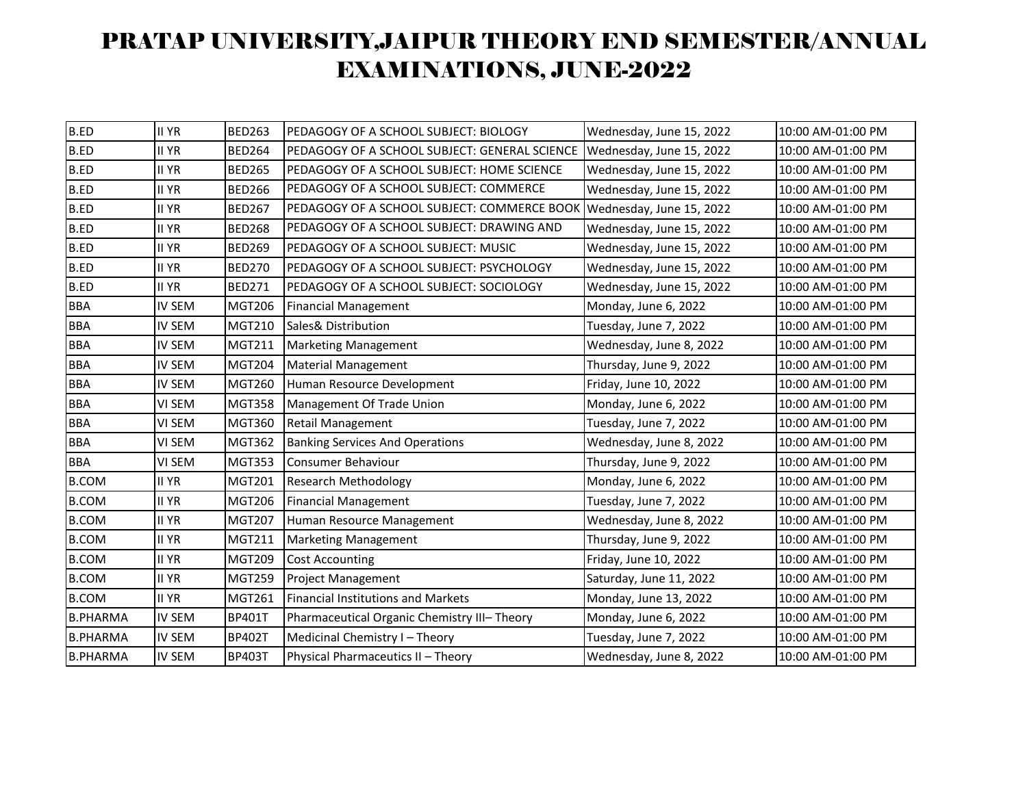| <b>B.ED</b>     | <b>II YR</b>  | <b>BED263</b> | PEDAGOGY OF A SCHOOL SUBJECT: BIOLOGY         | Wednesday, June 15, 2022 | 10:00 AM-01:00 PM |
|-----------------|---------------|---------------|-----------------------------------------------|--------------------------|-------------------|
| <b>B.ED</b>     | II YR         | <b>BED264</b> | PEDAGOGY OF A SCHOOL SUBJECT: GENERAL SCIENCE | Wednesday, June 15, 2022 | 10:00 AM-01:00 PM |
| <b>B.ED</b>     | <b>II YR</b>  | <b>BED265</b> | PEDAGOGY OF A SCHOOL SUBJECT: HOME SCIENCE    | Wednesday, June 15, 2022 | 10:00 AM-01:00 PM |
| <b>B.ED</b>     | II YR         | <b>BED266</b> | PEDAGOGY OF A SCHOOL SUBJECT: COMMERCE        | Wednesday, June 15, 2022 | 10:00 AM-01:00 PM |
| <b>B.ED</b>     | II YR         | <b>BED267</b> | PEDAGOGY OF A SCHOOL SUBJECT: COMMERCE BOOK   | Wednesday, June 15, 2022 | 10:00 AM-01:00 PM |
| <b>B.ED</b>     | <b>II YR</b>  | <b>BED268</b> | PEDAGOGY OF A SCHOOL SUBJECT: DRAWING AND     | Wednesday, June 15, 2022 | 10:00 AM-01:00 PM |
| <b>B.ED</b>     | II YR         | <b>BED269</b> | PEDAGOGY OF A SCHOOL SUBJECT: MUSIC           | Wednesday, June 15, 2022 | 10:00 AM-01:00 PM |
| <b>B.ED</b>     | II YR         | <b>BED270</b> | PEDAGOGY OF A SCHOOL SUBJECT: PSYCHOLOGY      | Wednesday, June 15, 2022 | 10:00 AM-01:00 PM |
| <b>B.ED</b>     | <b>II YR</b>  | <b>BED271</b> | PEDAGOGY OF A SCHOOL SUBJECT: SOCIOLOGY       | Wednesday, June 15, 2022 | 10:00 AM-01:00 PM |
| <b>BBA</b>      | IV SEM        | <b>MGT206</b> | <b>Financial Management</b>                   | Monday, June 6, 2022     | 10:00 AM-01:00 PM |
| <b>BBA</b>      | <b>IV SEM</b> | <b>MGT210</b> | Sales& Distribution                           | Tuesday, June 7, 2022    | 10:00 AM-01:00 PM |
| <b>BBA</b>      | <b>IV SEM</b> | <b>MGT211</b> | <b>Marketing Management</b>                   | Wednesday, June 8, 2022  | 10:00 AM-01:00 PM |
| <b>BBA</b>      | IV SEM        | <b>MGT204</b> | <b>Material Management</b>                    | Thursday, June 9, 2022   | 10:00 AM-01:00 PM |
| <b>BBA</b>      | <b>IV SEM</b> | <b>MGT260</b> | Human Resource Development                    | Friday, June 10, 2022    | 10:00 AM-01:00 PM |
| <b>BBA</b>      | VI SEM        | <b>MGT358</b> | Management Of Trade Union                     | Monday, June 6, 2022     | 10:00 AM-01:00 PM |
| <b>BBA</b>      | VI SEM        | <b>MGT360</b> | Retail Management                             | Tuesday, June 7, 2022    | 10:00 AM-01:00 PM |
| <b>BBA</b>      | VI SEM        | <b>MGT362</b> | <b>Banking Services And Operations</b>        | Wednesday, June 8, 2022  | 10:00 AM-01:00 PM |
| <b>BBA</b>      | VI SEM        | <b>MGT353</b> | <b>Consumer Behaviour</b>                     | Thursday, June 9, 2022   | 10:00 AM-01:00 PM |
| <b>B.COM</b>    | II YR         | <b>MGT201</b> | <b>Research Methodology</b>                   | Monday, June 6, 2022     | 10:00 AM-01:00 PM |
| <b>B.COM</b>    | <b>II YR</b>  | <b>MGT206</b> | <b>Financial Management</b>                   | Tuesday, June 7, 2022    | 10:00 AM-01:00 PM |
| <b>B.COM</b>    | <b>II YR</b>  | <b>MGT207</b> | Human Resource Management                     | Wednesday, June 8, 2022  | 10:00 AM-01:00 PM |
| <b>B.COM</b>    | II YR         | <b>MGT211</b> | <b>Marketing Management</b>                   | Thursday, June 9, 2022   | 10:00 AM-01:00 PM |
| <b>B.COM</b>    | <b>II YR</b>  | <b>MGT209</b> | <b>Cost Accounting</b>                        | Friday, June 10, 2022    | 10:00 AM-01:00 PM |
| <b>B.COM</b>    | II YR         | <b>MGT259</b> | <b>Project Management</b>                     | Saturday, June 11, 2022  | 10:00 AM-01:00 PM |
| <b>B.COM</b>    | <b>II YR</b>  | <b>MGT261</b> | <b>Financial Institutions and Markets</b>     | Monday, June 13, 2022    | 10:00 AM-01:00 PM |
| <b>B.PHARMA</b> | <b>IV SEM</b> | <b>BP401T</b> | Pharmaceutical Organic Chemistry III- Theory  | Monday, June 6, 2022     | 10:00 AM-01:00 PM |
| <b>B.PHARMA</b> | <b>IV SEM</b> | <b>BP402T</b> | Medicinal Chemistry I - Theory                | Tuesday, June 7, 2022    | 10:00 AM-01:00 PM |
| <b>B.PHARMA</b> | <b>IV SEM</b> | <b>BP403T</b> | Physical Pharmaceutics II - Theory            | Wednesday, June 8, 2022  | 10:00 AM-01:00 PM |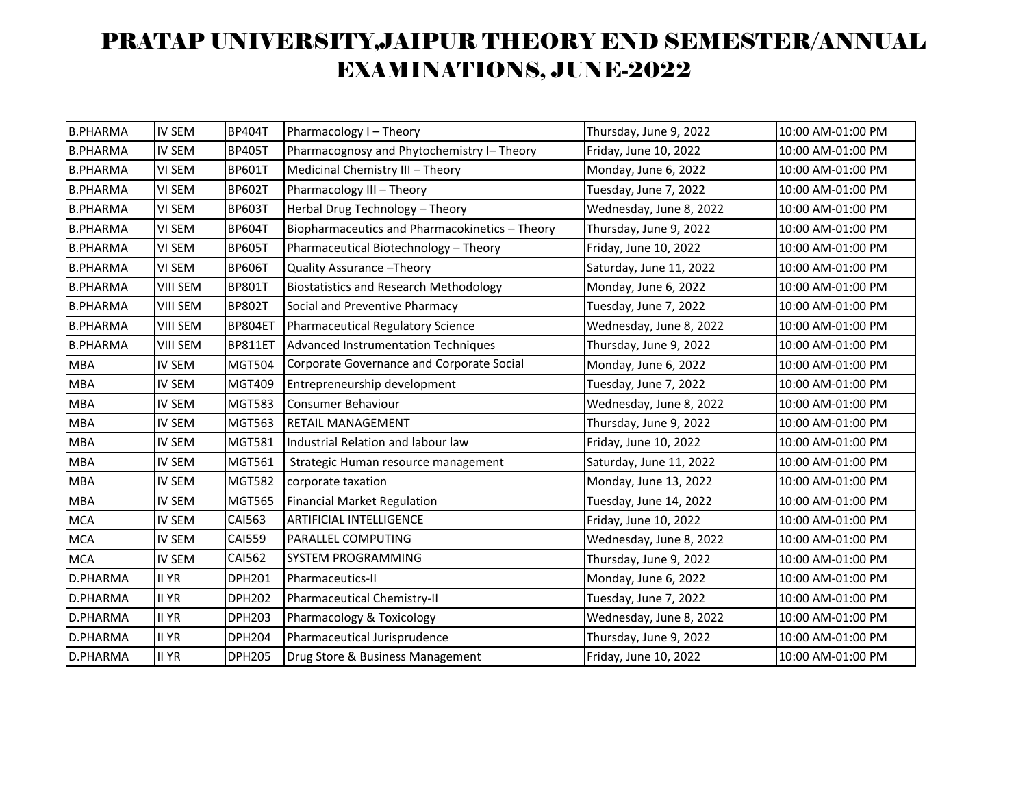| <b>B.PHARMA</b> | <b>IV SEM</b>   | <b>BP404T</b>  | Pharmacology I - Theory                        | Thursday, June 9, 2022  | 10:00 AM-01:00 PM |
|-----------------|-----------------|----------------|------------------------------------------------|-------------------------|-------------------|
| <b>B.PHARMA</b> | <b>IV SEM</b>   | <b>BP405T</b>  | Pharmacognosy and Phytochemistry I- Theory     | Friday, June 10, 2022   | 10:00 AM-01:00 PM |
| <b>B.PHARMA</b> | VI SEM          | <b>BP601T</b>  | Medicinal Chemistry III - Theory               | Monday, June 6, 2022    | 10:00 AM-01:00 PM |
| <b>B.PHARMA</b> | VI SEM          | <b>BP602T</b>  | Pharmacology III - Theory                      | Tuesday, June 7, 2022   | 10:00 AM-01:00 PM |
| <b>B.PHARMA</b> | VI SEM          | <b>BP603T</b>  | Herbal Drug Technology - Theory                | Wednesday, June 8, 2022 | 10:00 AM-01:00 PM |
| <b>B.PHARMA</b> | VI SEM          | <b>BP604T</b>  | Biopharmaceutics and Pharmacokinetics - Theory | Thursday, June 9, 2022  | 10:00 AM-01:00 PM |
| <b>B.PHARMA</b> | VI SEM          | <b>BP605T</b>  | Pharmaceutical Biotechnology - Theory          | Friday, June 10, 2022   | 10:00 AM-01:00 PM |
| <b>B.PHARMA</b> | VI SEM          | <b>BP606T</b>  | Quality Assurance - Theory                     | Saturday, June 11, 2022 | 10:00 AM-01:00 PM |
| <b>B.PHARMA</b> | <b>VIII SEM</b> | <b>BP801T</b>  | <b>Biostatistics and Research Methodology</b>  | Monday, June 6, 2022    | 10:00 AM-01:00 PM |
| <b>B.PHARMA</b> | <b>VIII SEM</b> | <b>BP802T</b>  | Social and Preventive Pharmacy                 | Tuesday, June 7, 2022   | 10:00 AM-01:00 PM |
| <b>B.PHARMA</b> | <b>VIII SEM</b> | BP804ET        | Pharmaceutical Regulatory Science              | Wednesday, June 8, 2022 | 10:00 AM-01:00 PM |
| <b>B.PHARMA</b> | <b>VIII SEM</b> | <b>BP811ET</b> | Advanced Instrumentation Techniques            | Thursday, June 9, 2022  | 10:00 AM-01:00 PM |
| <b>MBA</b>      | IV SEM          | <b>MGT504</b>  | Corporate Governance and Corporate Social      | Monday, June 6, 2022    | 10:00 AM-01:00 PM |
| <b>MBA</b>      | IV SEM          | <b>MGT409</b>  | Entrepreneurship development                   | Tuesday, June 7, 2022   | 10:00 AM-01:00 PM |
| <b>MBA</b>      | <b>IV SEM</b>   | <b>MGT583</b>  | <b>Consumer Behaviour</b>                      | Wednesday, June 8, 2022 | 10:00 AM-01:00 PM |
| <b>MBA</b>      | IV SEM          | <b>MGT563</b>  | <b>RETAIL MANAGEMENT</b>                       | Thursday, June 9, 2022  | 10:00 AM-01:00 PM |
| <b>MBA</b>      | IV SEM          | <b>MGT581</b>  | Industrial Relation and labour law             | Friday, June 10, 2022   | 10:00 AM-01:00 PM |
| <b>MBA</b>      | IV SEM          | <b>MGT561</b>  | Strategic Human resource management            | Saturday, June 11, 2022 | 10:00 AM-01:00 PM |
| <b>MBA</b>      | IV SEM          | <b>MGT582</b>  | corporate taxation                             | Monday, June 13, 2022   | 10:00 AM-01:00 PM |
| <b>MBA</b>      | IV SEM          | <b>MGT565</b>  | <b>Financial Market Regulation</b>             | Tuesday, June 14, 2022  | 10:00 AM-01:00 PM |
| <b>MCA</b>      | IV SEM          | <b>CAI563</b>  | ARTIFICIAL INTELLIGENCE                        | Friday, June 10, 2022   | 10:00 AM-01:00 PM |
| <b>MCA</b>      | <b>IV SEM</b>   | <b>CAI559</b>  | PARALLEL COMPUTING                             | Wednesday, June 8, 2022 | 10:00 AM-01:00 PM |
| <b>MCA</b>      | IV SEM          | <b>CAI562</b>  | SYSTEM PROGRAMMING                             | Thursday, June 9, 2022  | 10:00 AM-01:00 PM |
| <b>D.PHARMA</b> | <b>II YR</b>    | DPH201         | Pharmaceutics-II                               | Monday, June 6, 2022    | 10:00 AM-01:00 PM |
| D.PHARMA        | II YR           | <b>DPH202</b>  | Pharmaceutical Chemistry-II                    | Tuesday, June 7, 2022   | 10:00 AM-01:00 PM |
| D.PHARMA        | <b>II YR</b>    | <b>DPH203</b>  | Pharmacology & Toxicology                      | Wednesday, June 8, 2022 | 10:00 AM-01:00 PM |
| D.PHARMA        | <b>II YR</b>    | <b>DPH204</b>  | Pharmaceutical Jurisprudence                   | Thursday, June 9, 2022  | 10:00 AM-01:00 PM |
| <b>D.PHARMA</b> | <b>II YR</b>    | <b>DPH205</b>  | Drug Store & Business Management               | Friday, June 10, 2022   | 10:00 AM-01:00 PM |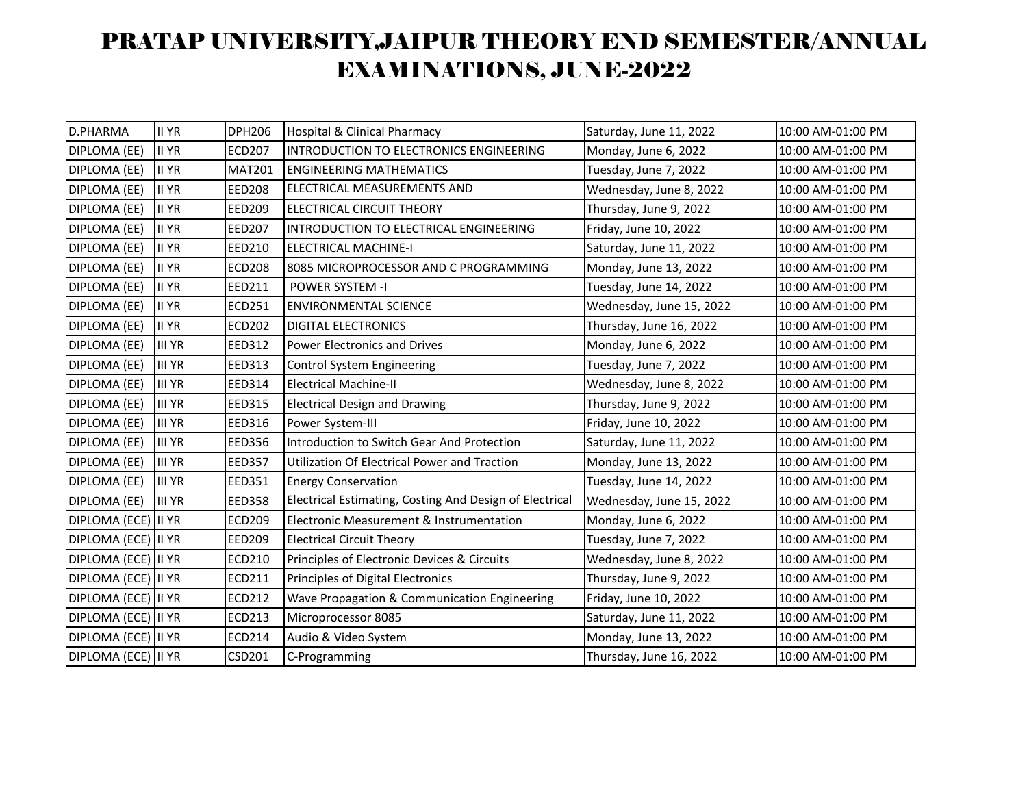| D.PHARMA            | II YR         | <b>DPH206</b> | <b>Hospital &amp; Clinical Pharmacy</b>                 | Saturday, June 11, 2022  | 10:00 AM-01:00 PM |
|---------------------|---------------|---------------|---------------------------------------------------------|--------------------------|-------------------|
| DIPLOMA (EE)        | <b>II YR</b>  | <b>ECD207</b> | INTRODUCTION TO ELECTRONICS ENGINEERING                 | Monday, June 6, 2022     | 10:00 AM-01:00 PM |
| DIPLOMA (EE)        | <b>II YR</b>  | <b>MAT201</b> | <b>ENGINEERING MATHEMATICS</b>                          | Tuesday, June 7, 2022    | 10:00 AM-01:00 PM |
| DIPLOMA (EE)        | <b>II YR</b>  | <b>EED208</b> | ELECTRICAL MEASUREMENTS AND                             | Wednesday, June 8, 2022  | 10:00 AM-01:00 PM |
| DIPLOMA (EE)        | <b>II YR</b>  | EED209        | ELECTRICAL CIRCUIT THEORY                               | Thursday, June 9, 2022   | 10:00 AM-01:00 PM |
| DIPLOMA (EE)        | <b>II YR</b>  | <b>EED207</b> | INTRODUCTION TO ELECTRICAL ENGINEERING                  | Friday, June 10, 2022    | 10:00 AM-01:00 PM |
| DIPLOMA (EE)        | <b>II YR</b>  | EED210        | <b>ELECTRICAL MACHINE-I</b>                             | Saturday, June 11, 2022  | 10:00 AM-01:00 PM |
| DIPLOMA (EE)        | <b>II YR</b>  | <b>ECD208</b> | 8085 MICROPROCESSOR AND C PROGRAMMING                   | Monday, June 13, 2022    | 10:00 AM-01:00 PM |
| DIPLOMA (EE)        | <b>II YR</b>  | EED211        | <b>POWER SYSTEM -I</b>                                  | Tuesday, June 14, 2022   | 10:00 AM-01:00 PM |
| DIPLOMA (EE)        | <b>II YR</b>  | <b>ECD251</b> | <b>ENVIRONMENTAL SCIENCE</b>                            | Wednesday, June 15, 2022 | 10:00 AM-01:00 PM |
| DIPLOMA (EE)        | <b>II YR</b>  | <b>ECD202</b> | <b>DIGITAL ELECTRONICS</b>                              | Thursday, June 16, 2022  | 10:00 AM-01:00 PM |
| DIPLOMA (EE)        | <b>III YR</b> | <b>EED312</b> | <b>Power Electronics and Drives</b>                     | Monday, June 6, 2022     | 10:00 AM-01:00 PM |
| DIPLOMA (EE)        | <b>III YR</b> | <b>EED313</b> | <b>Control System Engineering</b>                       | Tuesday, June 7, 2022    | 10:00 AM-01:00 PM |
| DIPLOMA (EE)        | <b>III YR</b> | <b>EED314</b> | <b>Electrical Machine-II</b>                            | Wednesday, June 8, 2022  | 10:00 AM-01:00 PM |
| DIPLOMA (EE)        | <b>III YR</b> | <b>EED315</b> | <b>Electrical Design and Drawing</b>                    | Thursday, June 9, 2022   | 10:00 AM-01:00 PM |
| DIPLOMA (EE)        | <b>III YR</b> | <b>EED316</b> | Power System-III                                        | Friday, June 10, 2022    | 10:00 AM-01:00 PM |
| DIPLOMA (EE)        | <b>III YR</b> | <b>EED356</b> | Introduction to Switch Gear And Protection              | Saturday, June 11, 2022  | 10:00 AM-01:00 PM |
| DIPLOMA (EE)        | <b>III YR</b> | <b>EED357</b> | Utilization Of Electrical Power and Traction            | Monday, June 13, 2022    | 10:00 AM-01:00 PM |
| DIPLOMA (EE)        | <b>III YR</b> | <b>EED351</b> | <b>Energy Conservation</b>                              | Tuesday, June 14, 2022   | 10:00 AM-01:00 PM |
| DIPLOMA (EE)        | <b>III YR</b> | <b>EED358</b> | Electrical Estimating, Costing And Design of Electrical | Wednesday, June 15, 2022 | 10:00 AM-01:00 PM |
| DIPLOMA (ECE) II YR |               | <b>ECD209</b> | Electronic Measurement & Instrumentation                | Monday, June 6, 2022     | 10:00 AM-01:00 PM |
| DIPLOMA (ECE) II YR |               | <b>EED209</b> | <b>Electrical Circuit Theory</b>                        | Tuesday, June 7, 2022    | 10:00 AM-01:00 PM |
| DIPLOMA (ECE) II YR |               | <b>ECD210</b> | Principles of Electronic Devices & Circuits             | Wednesday, June 8, 2022  | 10:00 AM-01:00 PM |
| DIPLOMA (ECE) II YR |               | ECD211        | Principles of Digital Electronics                       | Thursday, June 9, 2022   | 10:00 AM-01:00 PM |
| DIPLOMA (ECE) II YR |               | <b>ECD212</b> | Wave Propagation & Communication Engineering            | Friday, June 10, 2022    | 10:00 AM-01:00 PM |
| DIPLOMA (ECE) II YR |               | ECD213        | Microprocessor 8085                                     | Saturday, June 11, 2022  | 10:00 AM-01:00 PM |
| DIPLOMA (ECE) II YR |               | ECD214        | Audio & Video System                                    | Monday, June 13, 2022    | 10:00 AM-01:00 PM |
| DIPLOMA (ECE) II YR |               | CSD201        | C-Programming                                           | Thursday, June 16, 2022  | 10:00 AM-01:00 PM |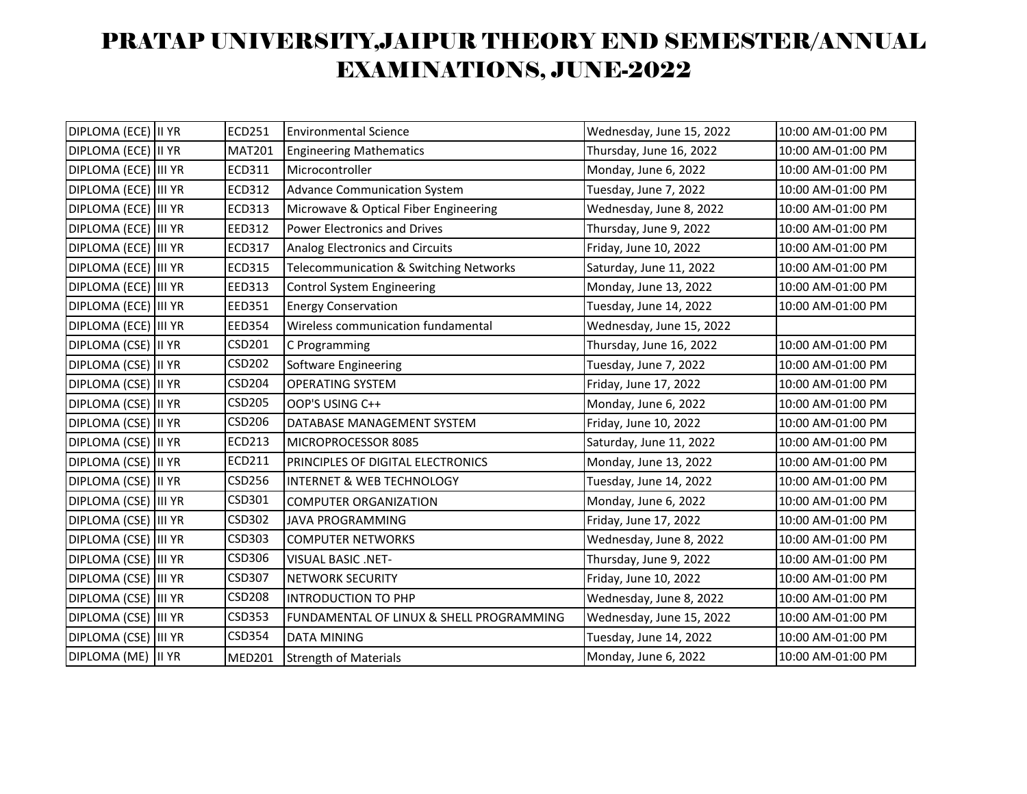| DIPLOMA (ECE)  II YR  | ECD251        | <b>Environmental Science</b>             | Wednesday, June 15, 2022 | 10:00 AM-01:00 PM |
|-----------------------|---------------|------------------------------------------|--------------------------|-------------------|
| DIPLOMA (ECE) II YR   |               | <b>Engineering Mathematics</b>           | Thursday, June 16, 2022  | 10:00 AM-01:00 PM |
| DIPLOMA (ECE) III YR  | ECD311        | Microcontroller                          | Monday, June 6, 2022     | 10:00 AM-01:00 PM |
| DIPLOMA (ECE) III YR  | ECD312        | <b>Advance Communication System</b>      | Tuesday, June 7, 2022    | 10:00 AM-01:00 PM |
| DIPLOMA (ECE)  III YR | ECD313        | Microwave & Optical Fiber Engineering    | Wednesday, June 8, 2022  | 10:00 AM-01:00 PM |
| DIPLOMA (ECE) III YR  | EED312        | <b>Power Electronics and Drives</b>      | Thursday, June 9, 2022   | 10:00 AM-01:00 PM |
| DIPLOMA (ECE) III YR  | ECD317        | Analog Electronics and Circuits          | Friday, June 10, 2022    | 10:00 AM-01:00 PM |
| DIPLOMA (ECE) III YR  | ECD315        | Telecommunication & Switching Networks   | Saturday, June 11, 2022  | 10:00 AM-01:00 PM |
| DIPLOMA (ECE) III YR  | EED313        | Control System Engineering               | Monday, June 13, 2022    | 10:00 AM-01:00 PM |
| DIPLOMA (ECE) III YR  | EED351        | <b>Energy Conservation</b>               | Tuesday, June 14, 2022   | 10:00 AM-01:00 PM |
| DIPLOMA (ECE)  III YR | <b>EED354</b> | Wireless communication fundamental       | Wednesday, June 15, 2022 |                   |
| DIPLOMA (CSE) II YR   | CSD201        | C Programming                            | Thursday, June 16, 2022  | 10:00 AM-01:00 PM |
| DIPLOMA (CSE) II YR   | <b>CSD202</b> | Software Engineering                     | Tuesday, June 7, 2022    | 10:00 AM-01:00 PM |
| DIPLOMA (CSE) II YR   | CSD204        | <b>OPERATING SYSTEM</b>                  | Friday, June 17, 2022    | 10:00 AM-01:00 PM |
| DIPLOMA (CSE) II YR   | CSD205        | OOP'S USING C++                          | Monday, June 6, 2022     | 10:00 AM-01:00 PM |
| DIPLOMA (CSE) II YR   | <b>CSD206</b> | DATABASE MANAGEMENT SYSTEM               | Friday, June 10, 2022    | 10:00 AM-01:00 PM |
| DIPLOMA (CSE) II YR   | ECD213        | MICROPROCESSOR 8085                      | Saturday, June 11, 2022  | 10:00 AM-01:00 PM |
| DIPLOMA (CSE) II YR   | ECD211        | PRINCIPLES OF DIGITAL ELECTRONICS        | Monday, June 13, 2022    | 10:00 AM-01:00 PM |
| DIPLOMA (CSE) II YR   | <b>CSD256</b> | <b>INTERNET &amp; WEB TECHNOLOGY</b>     | Tuesday, June 14, 2022   | 10:00 AM-01:00 PM |
| DIPLOMA (CSE) III YR  | CSD301        | <b>COMPUTER ORGANIZATION</b>             | Monday, June 6, 2022     | 10:00 AM-01:00 PM |
| DIPLOMA (CSE) III YR  | CSD302        | <b>JAVA PROGRAMMING</b>                  | Friday, June 17, 2022    | 10:00 AM-01:00 PM |
| DIPLOMA (CSE) III YR  | CSD303        | <b>COMPUTER NETWORKS</b>                 | Wednesday, June 8, 2022  | 10:00 AM-01:00 PM |
| DIPLOMA (CSE) III YR  | CSD306        | <b>VISUAL BASIC .NET-</b>                | Thursday, June 9, 2022   | 10:00 AM-01:00 PM |
| DIPLOMA (CSE) III YR  | <b>CSD307</b> | <b>NETWORK SECURITY</b>                  | Friday, June 10, 2022    | 10:00 AM-01:00 PM |
| DIPLOMA (CSE) III YR  | <b>CSD208</b> | <b>INTRODUCTION TO PHP</b>               | Wednesday, June 8, 2022  | 10:00 AM-01:00 PM |
| DIPLOMA (CSE) III YR  | <b>CSD353</b> | FUNDAMENTAL OF LINUX & SHELL PROGRAMMING | Wednesday, June 15, 2022 | 10:00 AM-01:00 PM |
| DIPLOMA (CSE) III YR  | CSD354        | <b>DATA MINING</b>                       | Tuesday, June 14, 2022   | 10:00 AM-01:00 PM |
| DIPLOMA (ME)  II YR   | <b>MED201</b> | <b>Strength of Materials</b>             | Monday, June 6, 2022     | 10:00 AM-01:00 PM |
|                       |               | <b>MAT201</b>                            |                          |                   |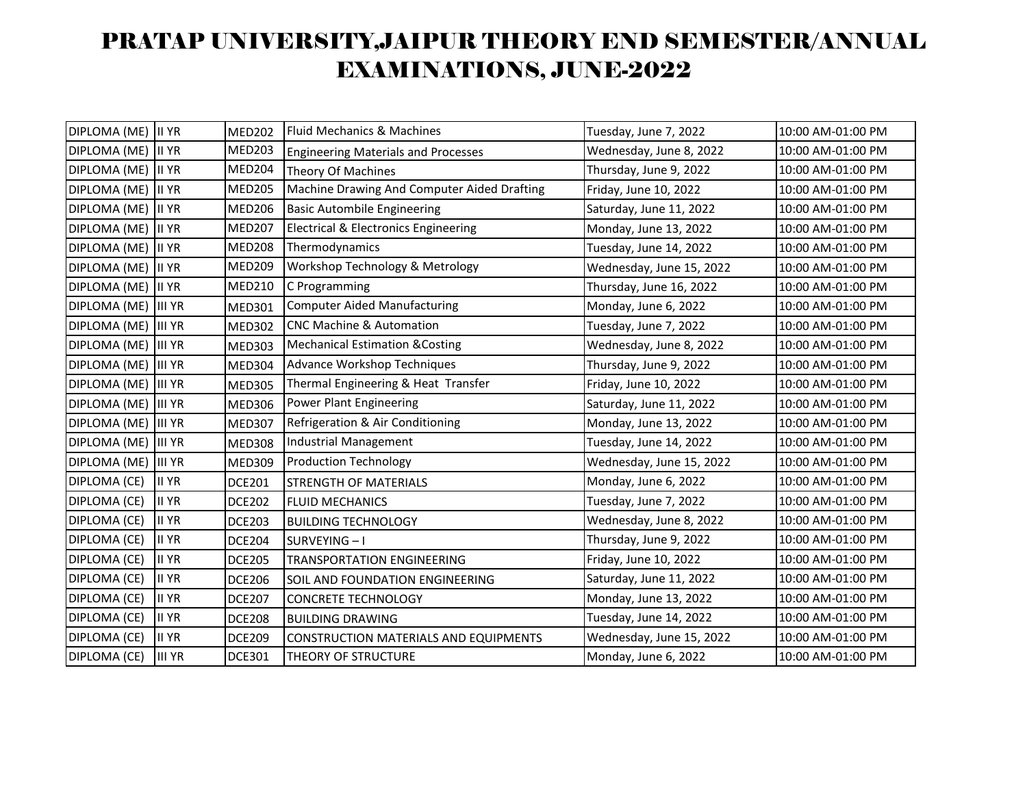| DIPLOMA (ME) | II YR         | <b>MED202</b> | Fluid Mechanics & Machines                   | Tuesday, June 7, 2022    | 10:00 AM-01:00 PM |
|--------------|---------------|---------------|----------------------------------------------|--------------------------|-------------------|
| DIPLOMA (ME) | II YR         | <b>MED203</b> | <b>Engineering Materials and Processes</b>   | Wednesday, June 8, 2022  | 10:00 AM-01:00 PM |
| DIPLOMA (ME) | II YR         | MED204        | <b>Theory Of Machines</b>                    | Thursday, June 9, 2022   | 10:00 AM-01:00 PM |
| DIPLOMA (ME) | <b>II YR</b>  | <b>MED205</b> | Machine Drawing And Computer Aided Drafting  | Friday, June 10, 2022    | 10:00 AM-01:00 PM |
| DIPLOMA (ME) | II YR         | <b>MED206</b> | <b>Basic Autombile Engineering</b>           | Saturday, June 11, 2022  | 10:00 AM-01:00 PM |
| DIPLOMA (ME) | II YR         | <b>MED207</b> | Electrical & Electronics Engineering         | Monday, June 13, 2022    | 10:00 AM-01:00 PM |
| DIPLOMA (ME) | <b>II</b> YR  | <b>MED208</b> | Thermodynamics                               | Tuesday, June 14, 2022   | 10:00 AM-01:00 PM |
| DIPLOMA (ME) | II YR         | <b>MED209</b> | Workshop Technology & Metrology              | Wednesday, June 15, 2022 | 10:00 AM-01:00 PM |
| DIPLOMA (ME) | II YR         | <b>MED210</b> | C Programming                                | Thursday, June 16, 2022  | 10:00 AM-01:00 PM |
| DIPLOMA (ME) | <b>III YR</b> | <b>MED301</b> | <b>Computer Aided Manufacturing</b>          | Monday, June 6, 2022     | 10:00 AM-01:00 PM |
| DIPLOMA (ME) | <b>III YR</b> | <b>MED302</b> | <b>CNC Machine &amp; Automation</b>          | Tuesday, June 7, 2022    | 10:00 AM-01:00 PM |
| DIPLOMA (ME) | <b>III YR</b> | <b>MED303</b> | <b>Mechanical Estimation &amp; Costing</b>   | Wednesday, June 8, 2022  | 10:00 AM-01:00 PM |
| DIPLOMA (ME) | <b>III YR</b> | <b>MED304</b> | Advance Workshop Techniques                  | Thursday, June 9, 2022   | 10:00 AM-01:00 PM |
| DIPLOMA (ME) | <b>III</b> YR | <b>MED305</b> | Thermal Engineering & Heat Transfer          | Friday, June 10, 2022    | 10:00 AM-01:00 PM |
| DIPLOMA (ME) | <b>III YR</b> | <b>MED306</b> | Power Plant Engineering                      | Saturday, June 11, 2022  | 10:00 AM-01:00 PM |
| DIPLOMA (ME) | <b>III YR</b> | <b>MED307</b> | Refrigeration & Air Conditioning             | Monday, June 13, 2022    | 10:00 AM-01:00 PM |
| DIPLOMA (ME) | <b>III</b> YR | <b>MED308</b> | Industrial Management                        | Tuesday, June 14, 2022   | 10:00 AM-01:00 PM |
| DIPLOMA (ME) | <b>III</b> YR | <b>MED309</b> | <b>Production Technology</b>                 | Wednesday, June 15, 2022 | 10:00 AM-01:00 PM |
| DIPLOMA (CE) | <b>II YR</b>  | <b>DCE201</b> | <b>STRENGTH OF MATERIALS</b>                 | Monday, June 6, 2022     | 10:00 AM-01:00 PM |
| DIPLOMA (CE) | <b>II YR</b>  | <b>DCE202</b> | <b>FLUID MECHANICS</b>                       | Tuesday, June 7, 2022    | 10:00 AM-01:00 PM |
| DIPLOMA (CE) | <b>II YR</b>  | <b>DCE203</b> | <b>BUILDING TECHNOLOGY</b>                   | Wednesday, June 8, 2022  | 10:00 AM-01:00 PM |
| DIPLOMA (CE) | <b>II YR</b>  | <b>DCE204</b> | SURVEYING-I                                  | Thursday, June 9, 2022   | 10:00 AM-01:00 PM |
| DIPLOMA (CE) | <b>II YR</b>  | <b>DCE205</b> | <b>TRANSPORTATION ENGINEERING</b>            | Friday, June 10, 2022    | 10:00 AM-01:00 PM |
| DIPLOMA (CE) | <b>II YR</b>  | <b>DCE206</b> | SOIL AND FOUNDATION ENGINEERING              | Saturday, June 11, 2022  | 10:00 AM-01:00 PM |
| DIPLOMA (CE) | <b>II YR</b>  | <b>DCE207</b> | <b>CONCRETE TECHNOLOGY</b>                   | Monday, June 13, 2022    | 10:00 AM-01:00 PM |
| DIPLOMA (CE) | <b>II YR</b>  | <b>DCE208</b> | <b>BUILDING DRAWING</b>                      | Tuesday, June 14, 2022   | 10:00 AM-01:00 PM |
| DIPLOMA (CE) | <b>II YR</b>  | <b>DCE209</b> | <b>CONSTRUCTION MATERIALS AND EQUIPMENTS</b> | Wednesday, June 15, 2022 | 10:00 AM-01:00 PM |
| DIPLOMA (CE) | <b>III YR</b> | <b>DCE301</b> | THEORY OF STRUCTURE                          | Monday, June 6, 2022     | 10:00 AM-01:00 PM |